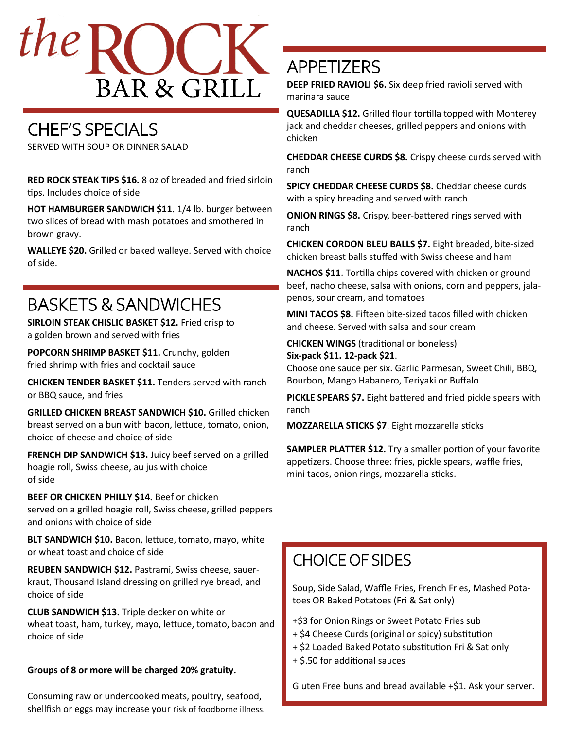

# CHEF'S SPECIALS

SERVED WITH SOUP OR DINNER SALAD

**RED ROCK STEAK TIPS \$16.** 8 oz of breaded and fried sirloin tips. Includes choice of side

**HOT HAMBURGER SANDWICH \$11.** 1/4 lb. burger between two slices of bread with mash potatoes and smothered in brown gravy.

**WALLEYE \$20.** Grilled or baked walleye. Served with choice of side.

## BASKETS & SANDWICHES

**SIRLOIN STEAK CHISLIC BASKET \$12.** Fried crisp to a golden brown and served with fries

**POPCORN SHRIMP BASKET \$11.** Crunchy, golden fried shrimp with fries and cocktail sauce

**CHICKEN TENDER BASKET \$11.** Tenders served with ranch or BBQ sauce, and fries

**GRILLED CHICKEN BREAST SANDWICH \$10.** Grilled chicken breast served on a bun with bacon, lettuce, tomato, onion, choice of cheese and choice of side

**FRENCH DIP SANDWICH \$13.** Juicy beef served on a grilled hoagie roll, Swiss cheese, au jus with choice of side

**BEEF OR CHICKEN PHILLY \$14.** Beef or chicken served on a grilled hoagie roll, Swiss cheese, grilled peppers and onions with choice of side

**BLT SANDWICH \$10.** Bacon, lettuce, tomato, mayo, white or wheat toast and choice of side

**REUBEN SANDWICH \$12.** Pastrami, Swiss cheese, sauerkraut, Thousand Island dressing on grilled rye bread, and choice of side

**CLUB SANDWICH \$13.** Triple decker on white or wheat toast, ham, turkey, mayo, lettuce, tomato, bacon and choice of side

#### **Groups of 8 or more will be charged 20% gratuity.**

Consuming raw or undercooked meats, poultry, seafood, shellfish or eggs may increase your risk of foodborne illness.

### APPETIZERS

**DEEP FRIED RAVIOLI \$6.** Six deep fried ravioli served with marinara sauce

**QUESADILLA \$12.** Grilled flour tortilla topped with Monterey jack and cheddar cheeses, grilled peppers and onions with chicken

**CHEDDAR CHEESE CURDS \$8.** Crispy cheese curds served with ranch

**SPICY CHEDDAR CHEESE CURDS \$8.** Cheddar cheese curds with a spicy breading and served with ranch

**ONION RINGS \$8.** Crispy, beer-battered rings served with ranch

**CHICKEN CORDON BLEU BALLS \$7.** Eight breaded, bite-sized chicken breast balls stuffed with Swiss cheese and ham

**NACHOS \$11**. Tortilla chips covered with chicken or ground beef, nacho cheese, salsa with onions, corn and peppers, jalapenos, sour cream, and tomatoes

**MINI TACOS \$8.** Fifteen bite-sized tacos filled with chicken and cheese. Served with salsa and sour cream

**CHICKEN WINGS** (traditional or boneless) **Six-pack \$11. 12-pack \$21**.

Choose one sauce per six. Garlic Parmesan, Sweet Chili, BBQ, Bourbon, Mango Habanero, Teriyaki or Buffalo

**PICKLE SPEARS \$7.** Eight battered and fried pickle spears with ranch

**MOZZARELLA STICKS \$7**. Eight mozzarella sticks

**SAMPLER PLATTER \$12.** Try a smaller portion of your favorite appetizers. Choose three: fries, pickle spears, waffle fries, mini tacos, onion rings, mozzarella sticks.

#### CHOICE OF SIDES

Soup, Side Salad, Waffle Fries, French Fries, Mashed Potatoes OR Baked Potatoes (Fri & Sat only)

- +\$3 for Onion Rings or Sweet Potato Fries sub
- + \$4 Cheese Curds (original or spicy) substitution
- + \$2 Loaded Baked Potato substitution Fri & Sat only
- + \$.50 for additional sauces

Gluten Free buns and bread available +\$1. Ask your server.